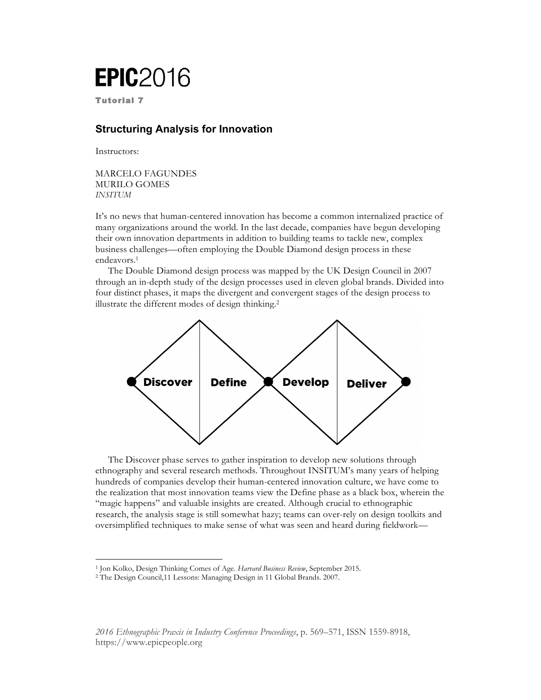## **EPIC**2016

Tutorial 7

## **Structuring Analysis for Innovation**

Instructors:

MARCELO FAGUNDES MURILO GOMES *INSITUM*

It's no news that human-centered innovation has become a common internalized practice of many organizations around the world. In the last decade, companies have begun developing their own innovation departments in addition to building teams to tackle new, complex business challenges—often employing the Double Diamond design process in these endeavors.1

The Double Diamond design process was mapped by the UK Design Council in 2007 through an in-depth study of the design processes used in eleven global brands. Divided into four distinct phases, it maps the divergent and convergent stages of the design process to illustrate the different modes of design thinking.2



The Discover phase serves to gather inspiration to develop new solutions through ethnography and several research methods. Throughout INSITUM's many years of helping hundreds of companies develop their human-centered innovation culture, we have come to the realization that most innovation teams view the Define phase as a black box, wherein the "magic happens" and valuable insights are created. Although crucial to ethnographic research, the analysis stage is still somewhat hazy; teams can over-rely on design toolkits and oversimplified techniques to make sense of what was seen and heard during fieldwork—

*2016 Ethnographic Praxis in Industry Conference Proceedings*, p. 569–571, ISSN 1559-8918, <https://www.epicpeople.org>

<sup>1</sup> Jon Kolko, Design Thinking Comes of Age. *Harvard Business Review*, September 2015.

<sup>2</sup> The Design Council,11 Lessons: Managing Design in 11 Global Brands. 2007.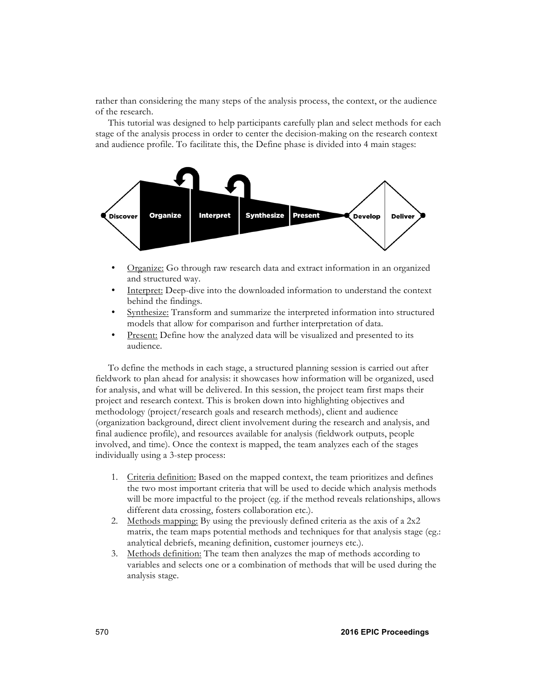rather than considering the many steps of the analysis process, the context, or the audience of the research.

This tutorial was designed to help participants carefully plan and select methods for each stage of the analysis process in order to center the decision-making on the research context and audience profile. To facilitate this, the Define phase is divided into 4 main stages:



- Organize: Go through raw research data and extract information in an organized and structured way.
- Interpret: Deep-dive into the downloaded information to understand the context behind the findings.
- Synthesize: Transform and summarize the interpreted information into structured models that allow for comparison and further interpretation of data.
- Present: Define how the analyzed data will be visualized and presented to its audience.

To define the methods in each stage, a structured planning session is carried out after fieldwork to plan ahead for analysis: it showcases how information will be organized, used for analysis, and what will be delivered. In this session, the project team first maps their project and research context. This is broken down into highlighting objectives and methodology (project/research goals and research methods), client and audience (organization background, direct client involvement during the research and analysis, and final audience profile), and resources available for analysis (fieldwork outputs, people involved, and time). Once the context is mapped, the team analyzes each of the stages individually using a 3-step process:

- 1. Criteria definition: Based on the mapped context, the team prioritizes and defines the two most important criteria that will be used to decide which analysis methods will be more impactful to the project (eg. if the method reveals relationships, allows different data crossing, fosters collaboration etc.).
- 2. Methods mapping: By using the previously defined criteria as the axis of a 2x2 matrix, the team maps potential methods and techniques for that analysis stage (eg.: analytical debriefs, meaning definition, customer journeys etc.).
- 3. Methods definition: The team then analyzes the map of methods according to variables and selects one or a combination of methods that will be used during the analysis stage.